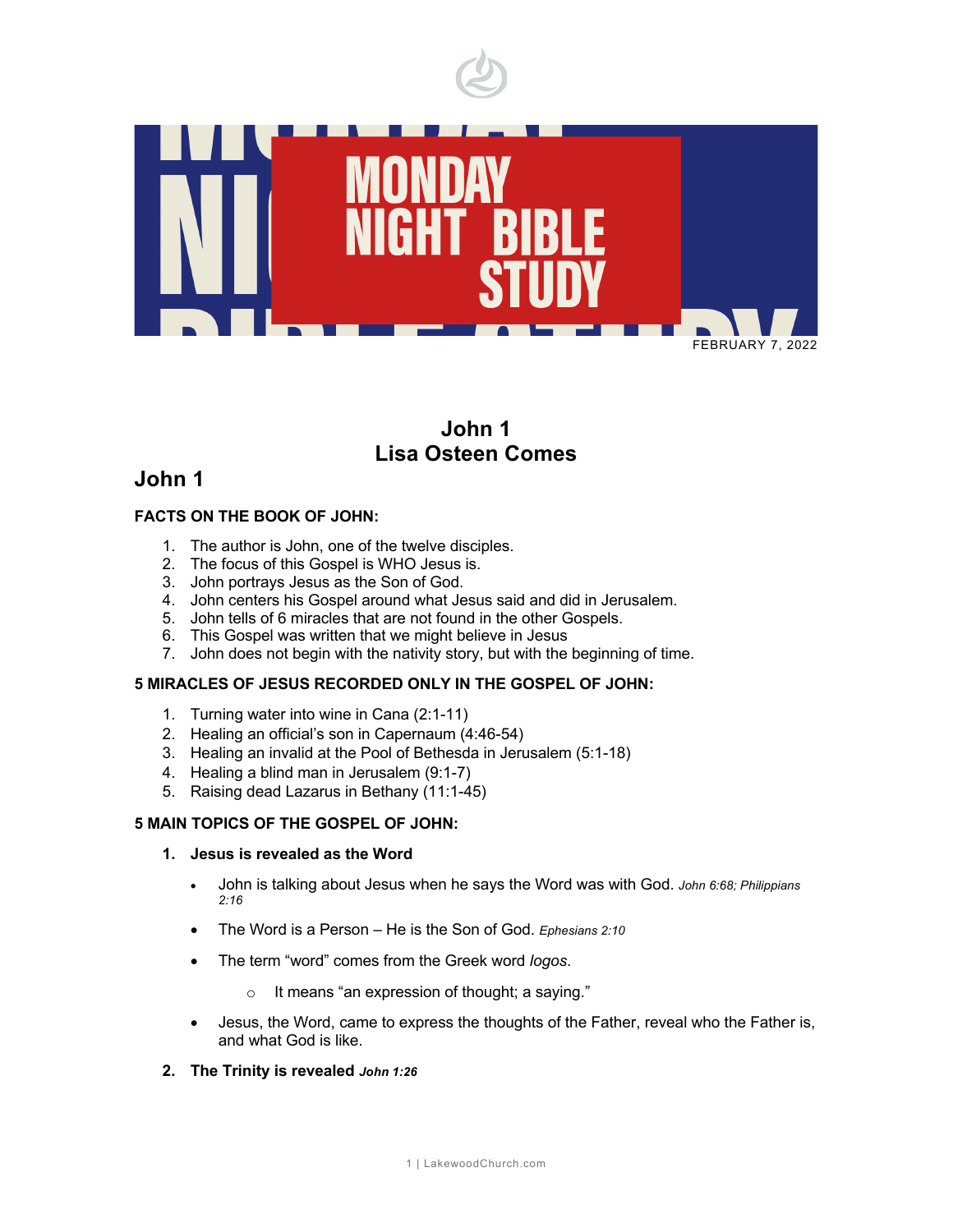

# **John 1 Lisa Osteen Comes**

# **John 1**

### **FACTS ON THE BOOK OF JOHN:**

- 1. The author is John, one of the twelve disciples.
- 2. The focus of this Gospel is WHO Jesus is.
- 3. John portrays Jesus as the Son of God.
- 4. John centers his Gospel around what Jesus said and did in Jerusalem.
- 5. John tells of 6 miracles that are not found in the other Gospels.
- 6. This Gospel was written that we might believe in Jesus
- 7. John does not begin with the nativity story, but with the beginning of time.

### **5 MIRACLES OF JESUS RECORDED ONLY IN THE GOSPEL OF JOHN:**

- 1. Turning water into wine in Cana (2:1-11)
- 2. Healing an official's son in Capernaum (4:46-54)
- 3. Healing an invalid at the Pool of Bethesda in Jerusalem (5:1-18)
- 4. Healing a blind man in Jerusalem (9:1-7)
- 5. Raising dead Lazarus in Bethany (11:1-45)

#### **5 MAIN TOPICS OF THE GOSPEL OF JOHN:**

#### **1. Jesus is revealed as the Word**

- John is talking about Jesus when he says the Word was with God. *John 6:68; Philippians 2:16*
- The Word is a Person He is the Son of God. *Ephesians 2:10*
- The term "word" comes from the Greek word *logos*.
	- o It means "an expression of thought; a saying."
- Jesus, the Word, came to express the thoughts of the Father, reveal who the Father is, and what God is like.
- **2. The Trinity is revealed** *John 1:26*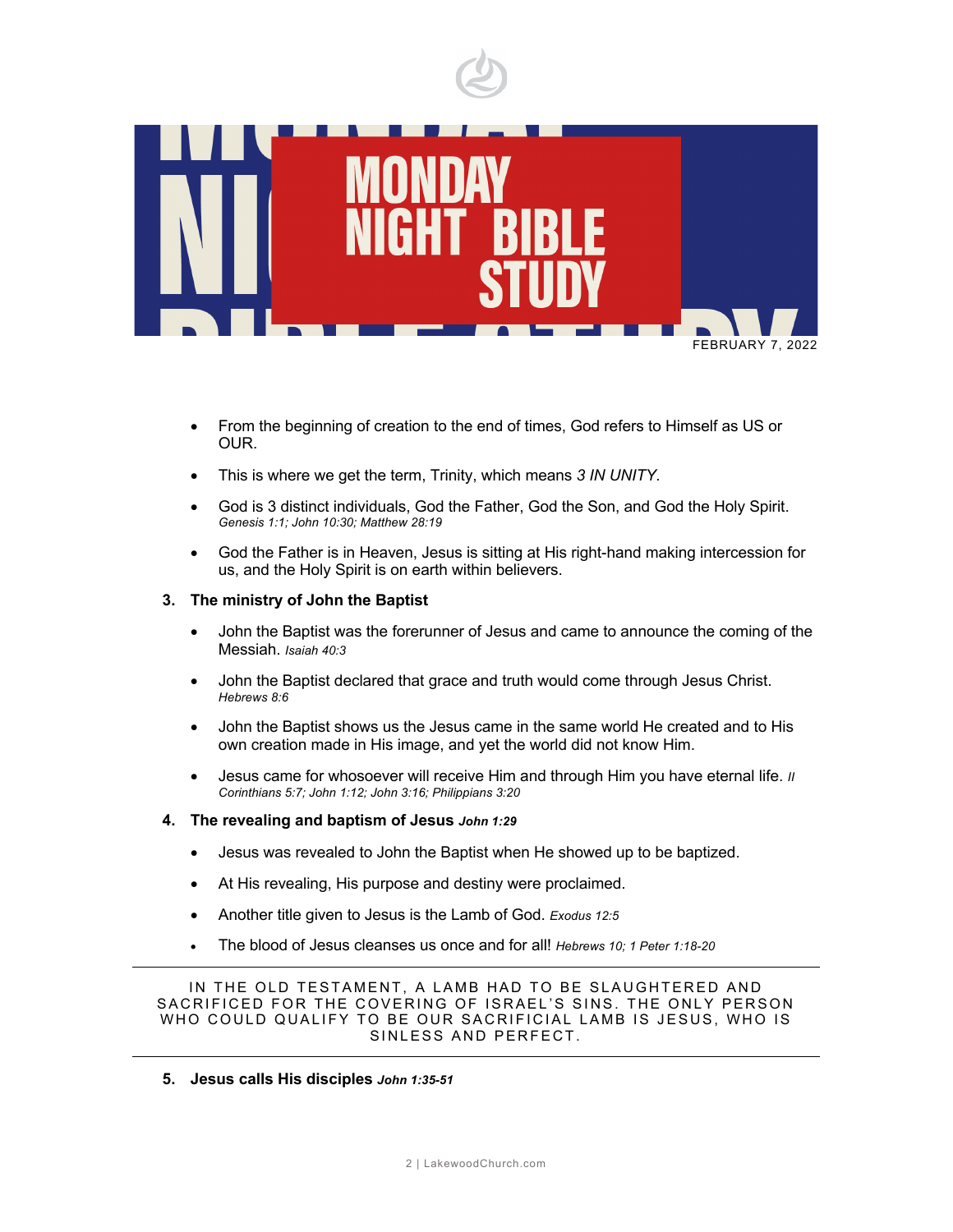

- From the beginning of creation to the end of times, God refers to Himself as US or OUR.
- This is where we get the term, Trinity, which means *3 IN UNITY*.
- God is 3 distinct individuals, God the Father, God the Son, and God the Holy Spirit. *Genesis 1:1; John 10:30; Matthew 28:19*
- God the Father is in Heaven, Jesus is sitting at His right-hand making intercession for us, and the Holy Spirit is on earth within believers.

#### **3. The ministry of John the Baptist**

- John the Baptist was the forerunner of Jesus and came to announce the coming of the Messiah. *Isaiah 40:3*
- John the Baptist declared that grace and truth would come through Jesus Christ. *Hebrews 8:6*
- John the Baptist shows us the Jesus came in the same world He created and to His own creation made in His image, and yet the world did not know Him.
- Jesus came for whosoever will receive Him and through Him you have eternal life. *II Corinthians 5:7; John 1:12; John 3:16; Philippians 3:20*
- **4. The revealing and baptism of Jesus** *John 1:29*
	- Jesus was revealed to John the Baptist when He showed up to be baptized.
	- At His revealing, His purpose and destiny were proclaimed.
	- Another title given to Jesus is the Lamb of God. *Exodus 12:5*
	- The blood of Jesus cleanses us once and for all! *Hebrews 10; 1 Peter 1:18-20*

IN THE OLD TESTAMENT, A LAMB HAD TO BE SLAUGHTERED AND SACRIFICED FOR THE COVERING OF ISRAEL 'S SINS. THE ONLY PERSON WHO COULD QUALIFY TO BE OUR SACRIFICIAL LAMB IS JESUS, WHO IS SINLESS AND PERFECT.

#### **5. Jesus calls His disciples** *John 1:35-51*